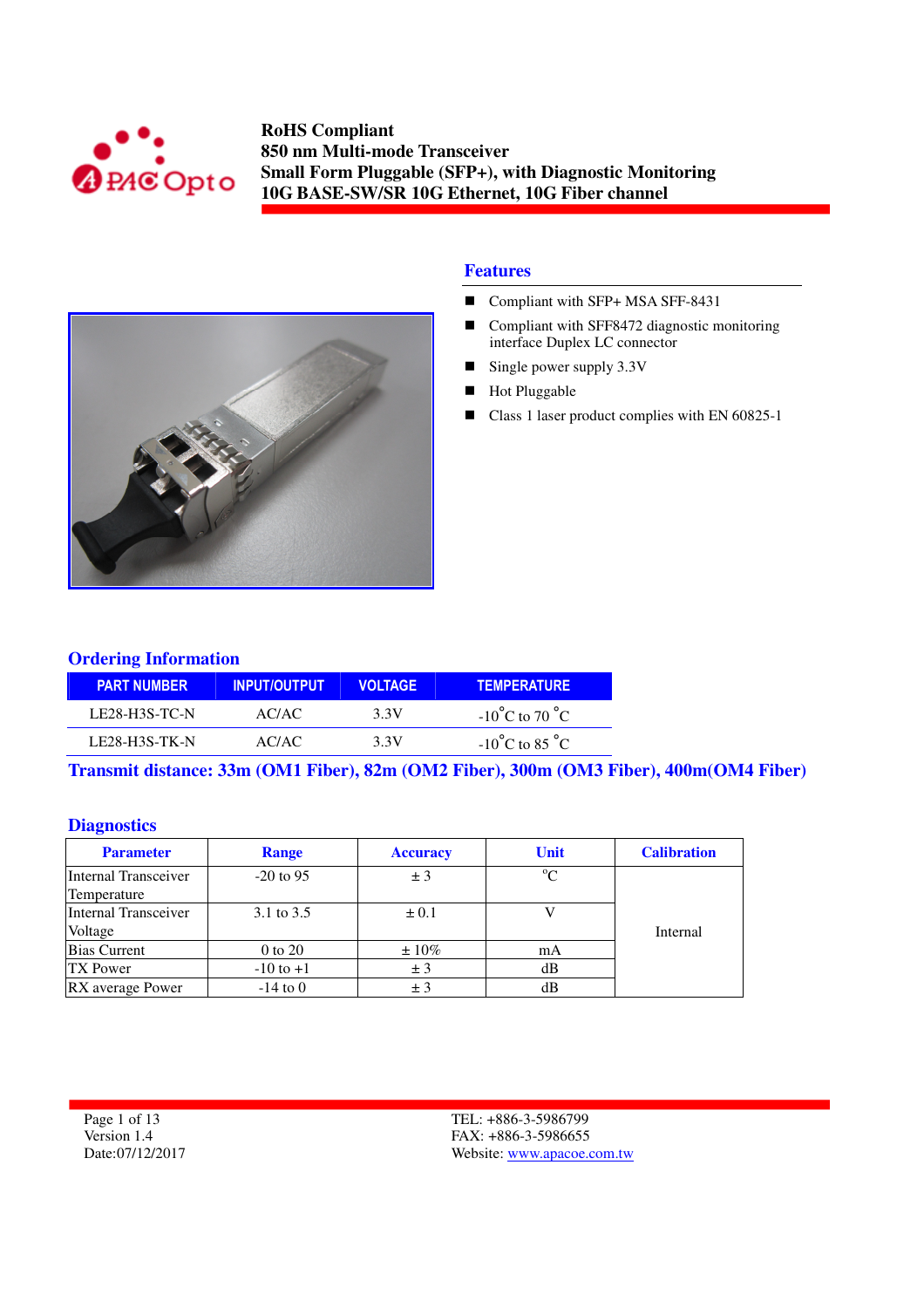



#### **Features**

- Compliant with SFP+ MSA SFF-8431
- Compliant with SFF8472 diagnostic monitoring interface Duplex LC connector
- Single power supply  $3.3V$
- Hot Pluggable
- Class 1 laser product complies with EN 60825-1

#### **Ordering Information**

| <b>PART NUMBER</b>   | <b>INPUT/OUTPUT</b> | <b>VOLTAGE</b> | <b>TEMPERATURE</b>                 |
|----------------------|---------------------|----------------|------------------------------------|
| LE28-H3S-TC-N        | AC/AC               | 3.3V           | $-10^{\circ}$ C to 70 $^{\circ}$ C |
| <b>LE28-H3S-TK-N</b> | AC/AC               | 3.3V           | $-10^{\circ}$ C to 85 $^{\circ}$ C |

**Transmit distance: 33m (OM1 Fiber), 82m (OM2 Fiber), 300m (OM3 Fiber), 400m(OM4 Fiber)** 

#### **Diagnostics**

| <b>Parameter</b>     | Range         | <b>Accuracy</b> | Unit        | <b>Calibration</b> |
|----------------------|---------------|-----------------|-------------|--------------------|
| Internal Transceiver | $-20$ to 95   | ± 3             | $^{\circ}C$ |                    |
| Temperature          |               |                 |             |                    |
| Internal Transceiver | 3.1 to 3.5    | $\pm 0.1$       |             |                    |
| Voltage              |               |                 |             | Internal           |
| <b>Bias Current</b>  | 0 to 20       | $\pm 10\%$      | mA          |                    |
| <b>TX Power</b>      | $-10$ to $+1$ | ± 3             | dВ          |                    |
| RX average Power     | $-14$ to 0    | ± 3             | dB          |                    |

Page 1 of 13 Version 1.4 Date:07/12/2017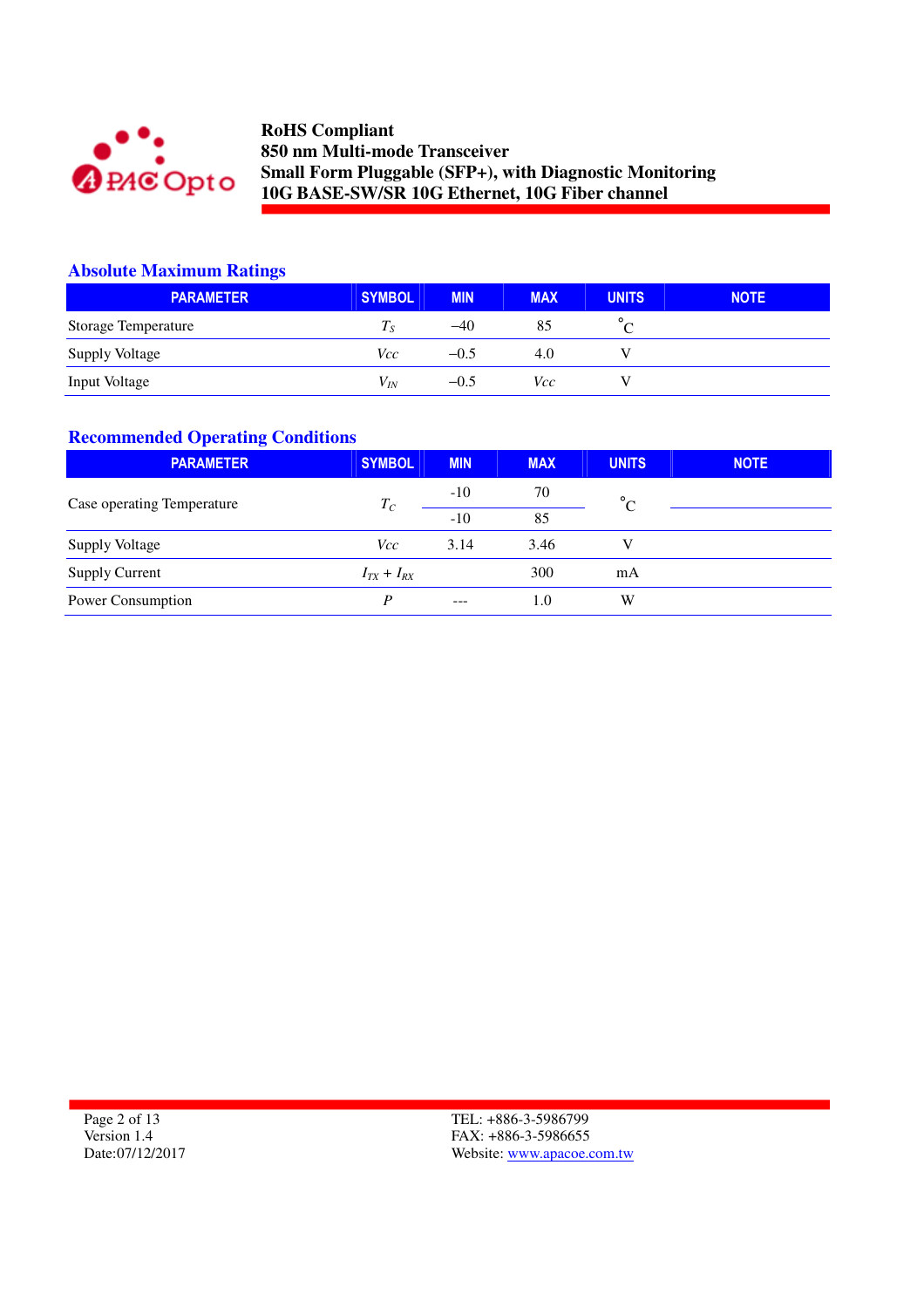

## **Absolute Maximum Ratings**

| <b>PARAMETER</b>      | SYMBOL                     | <b>MIN</b> | <b>MAX</b> | <b>UNITS</b> | <b>NOTE</b> |
|-----------------------|----------------------------|------------|------------|--------------|-------------|
| Storage Temperature   | $T_{\scriptscriptstyle S}$ | $-40$      | 85         |              |             |
| <b>Supply Voltage</b> | Vcc                        | $-0.5$     | 4.0        |              |             |
| <b>Input Voltage</b>  | $V_{IN}$                   | $-0.5$     | Vcc        |              |             |

## **Recommended Operating Conditions**

| <b>PARAMETER</b>           | <b>SYMBOL</b>     | <b>MIN</b> | <b>MAX</b> | <b>UNITS</b> | <b>NOTE</b> |
|----------------------------|-------------------|------------|------------|--------------|-------------|
| Case operating Temperature | $T_C$             | $-10$      | 70         | $\circ$      |             |
|                            |                   | $-10$      | 85         |              |             |
| <b>Supply Voltage</b>      | <i>Vcc</i>        | 3.14       | 3.46       | V            |             |
| <b>Supply Current</b>      | $I_{TX} + I_{RX}$ |            | 300        | mA           |             |
| Power Consumption          | D                 | $- - -$    | 1.0        | W            |             |

Page 2 of 13 Version 1.4 Date:07/12/2017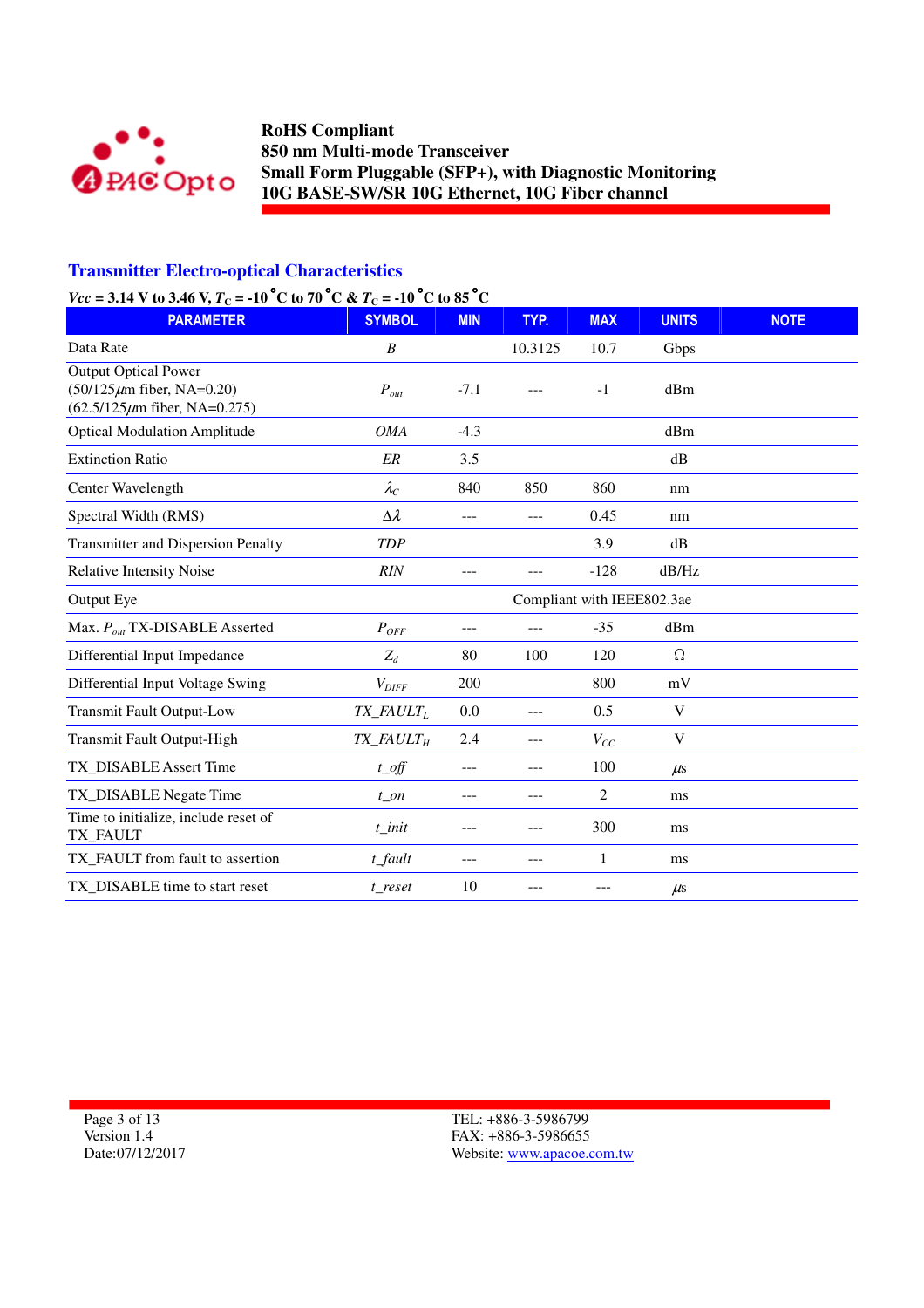

### **Transmitter Electro-optical Characteristics**

### *Vcc* = 3.14 V to 3.46 V,  $T_c$  = -10<sup>°</sup>C to 70<sup>°</sup>C &  $T_c$  = -10<sup>°</sup>C to 85<sup>°</sup>C

| $VCC = 3.14$ Y to 3.40 Y, $T_C = -10$ C to 70 C & $T_C = -10$ C to 83 C<br><b>PARAMETER</b>     | <b>SYMBOL</b>                        | <b>MIN</b> | TYP.                       | <b>MAX</b>     | <b>UNITS</b>              | <b>NOTE</b> |
|-------------------------------------------------------------------------------------------------|--------------------------------------|------------|----------------------------|----------------|---------------------------|-------------|
|                                                                                                 |                                      |            |                            |                |                           |             |
| Data Rate                                                                                       | $\boldsymbol{B}$                     |            | 10.3125                    | 10.7           | Gbps                      |             |
| Output Optical Power<br>$(50/125 \mu m)$ fiber, NA=0.20)<br>$(62.5/125 \mu m)$ fiber, NA=0.275) | $P_{out}$                            | $-7.1$     |                            | $-1$           | dBm                       |             |
| <b>Optical Modulation Amplitude</b>                                                             | <b>OMA</b>                           | $-4.3$     |                            |                | dBm                       |             |
| <b>Extinction Ratio</b>                                                                         | ER                                   | 3.5        |                            |                | dB                        |             |
| Center Wavelength                                                                               | $\lambda_C$                          | 840        | 850                        | 860            | nm                        |             |
| Spectral Width (RMS)                                                                            | $\Delta \lambda$                     | $---$      | $---$                      | 0.45           | nm                        |             |
| <b>Transmitter and Dispersion Penalty</b>                                                       | <b>TDP</b>                           |            |                            | 3.9            | dB                        |             |
| <b>Relative Intensity Noise</b>                                                                 | RIN                                  | ---        |                            | $-128$         | dB/Hz                     |             |
| Output Eye                                                                                      |                                      |            | Compliant with IEEE802.3ae |                |                           |             |
| Max. $P_{out}$ TX-DISABLE Asserted                                                              | $P_{OFF}$                            | ---        | ---                        | $-35$          | dBm                       |             |
| Differential Input Impedance                                                                    | $Z_d$                                | 80         | 100                        | 120            | $\Omega$                  |             |
| Differential Input Voltage Swing                                                                | $V_{DIFF}$                           | 200        |                            | 800            | mV                        |             |
| <b>Transmit Fault Output-Low</b>                                                                | TX_FAULTL                            | 0.0        | $---$                      | 0.5            | $\ensuremath{\mathbf{V}}$ |             |
| Transmit Fault Output-High                                                                      | $TX$ <sub>FAULT<math>_H</math></sub> | 2.4        | $---$                      | $V_{CC}$       | V                         |             |
| TX DISABLE Assert Time                                                                          | $t$ <sub>o</sub> ff                  | $---$      | $---$                      | 100            | $\mu$ s                   |             |
| TX_DISABLE Negate Time                                                                          | $t$ _on                              | ---        | $---$                      | $\overline{2}$ | ms                        |             |
| Time to initialize, include reset of<br>TX_FAULT                                                | $t$ _init                            | ---        | $---$                      | 300            | ms                        |             |
| TX_FAULT from fault to assertion                                                                | $t$ _fault                           | $---$      | ---                        | 1              | ms                        |             |
| TX_DISABLE time to start reset                                                                  | t reset                              | 10         | ---                        |                | $\mu$ s                   |             |

Page 3 of 13 Version 1.4 Date:07/12/2017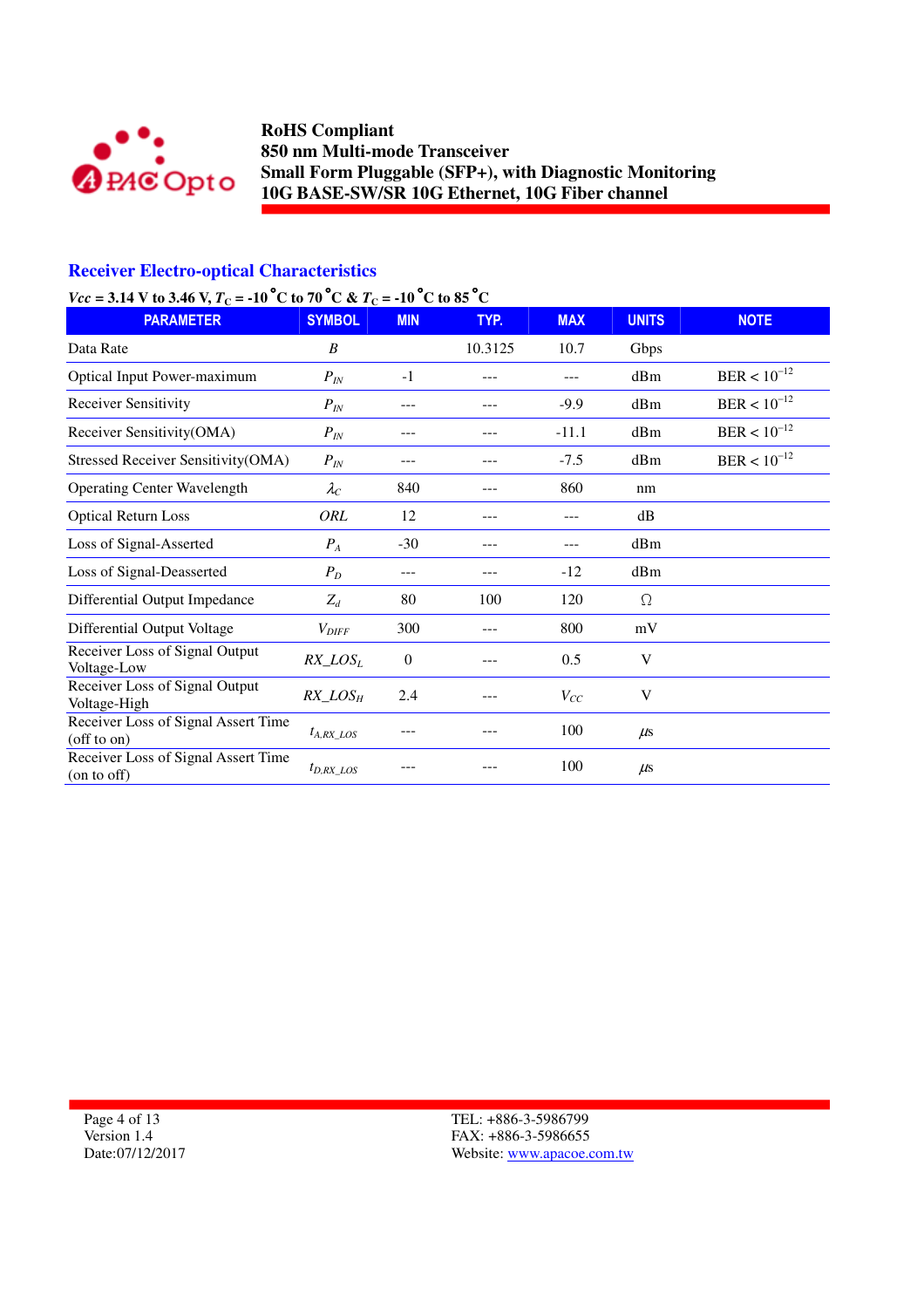

### **Receiver Electro-optical Characteristics**

### *Vcc* = 3.14 V to 3.46 V,  $T_c$  = -10<sup>°</sup>C to 70<sup>°</sup>C &  $T_c$  = -10<sup>°</sup>C to 85<sup>°</sup>C

| $-$ 0.1 $\pm$ 1 $\pm$ 0.0 0.1 $\pm$ 1.1 $\pm$<br><b>PARAMETER</b>   | 100000000001<br><b>SYMBOL</b> | <b>MIN</b> | TYP.    | <b>MAX</b> | <b>UNITS</b> | <b>NOTE</b>      |
|---------------------------------------------------------------------|-------------------------------|------------|---------|------------|--------------|------------------|
| Data Rate                                                           | B                             |            | 10.3125 | 10.7       | Gbps         |                  |
| <b>Optical Input Power-maximum</b>                                  | $P_{IN}$                      | $-1$       |         |            | dBm          | $BER < 10^{-12}$ |
| Receiver Sensitivity                                                | $P_{IN}$                      | ---        | ---     | $-9.9$     | dBm          | $BER < 10^{-12}$ |
| Receiver Sensitivity(OMA)                                           | $P_{IN}$                      | ---        | ---     | $-11.1$    | dBm          | $BER < 10^{-12}$ |
| <b>Stressed Receiver Sensitivity(OMA)</b>                           | $P_{IN}$                      | ---        |         | $-7.5$     | dBm          | $BER < 10^{-12}$ |
| <b>Operating Center Wavelength</b>                                  | $\lambda_C$                   | 840        |         | 860        | nm           |                  |
| <b>Optical Return Loss</b>                                          | ORL                           | 12         |         | ---        | dB           |                  |
| Loss of Signal-Asserted                                             | $P_A$                         | $-30$      | ---     | ---        | dBm          |                  |
| Loss of Signal-Deasserted                                           | $P_D$                         | ---        |         | $-12$      | dBm          |                  |
| Differential Output Impedance                                       | $Z_d$                         | 80         | 100     | 120        | $\Omega$     |                  |
| Differential Output Voltage                                         | $V_{\mathit{DIFF}}$           | 300        | ---     | 800        | mV           |                  |
| Receiver Loss of Signal Output<br>Voltage-Low                       | $RX\_LOS_L$                   | $\theta$   |         | 0.5        | V            |                  |
| Receiver Loss of Signal Output<br>Voltage-High                      | $RX\_LOS_H$                   | 2.4        |         | $V_{CC}$   | V            |                  |
| Receiver Loss of Signal Assert Time<br>$\text{of } \text{f}$ to on) | $t_{A, RX}$ LOS               |            |         | 100        | $\mu$ s      |                  |
| Receiver Loss of Signal Assert Time<br>(on to off)                  | $t_{D,RX\_LOS}$               |            |         | 100        | $\mu$ s      |                  |

Page 4 of 13 Version 1.4 Date:07/12/2017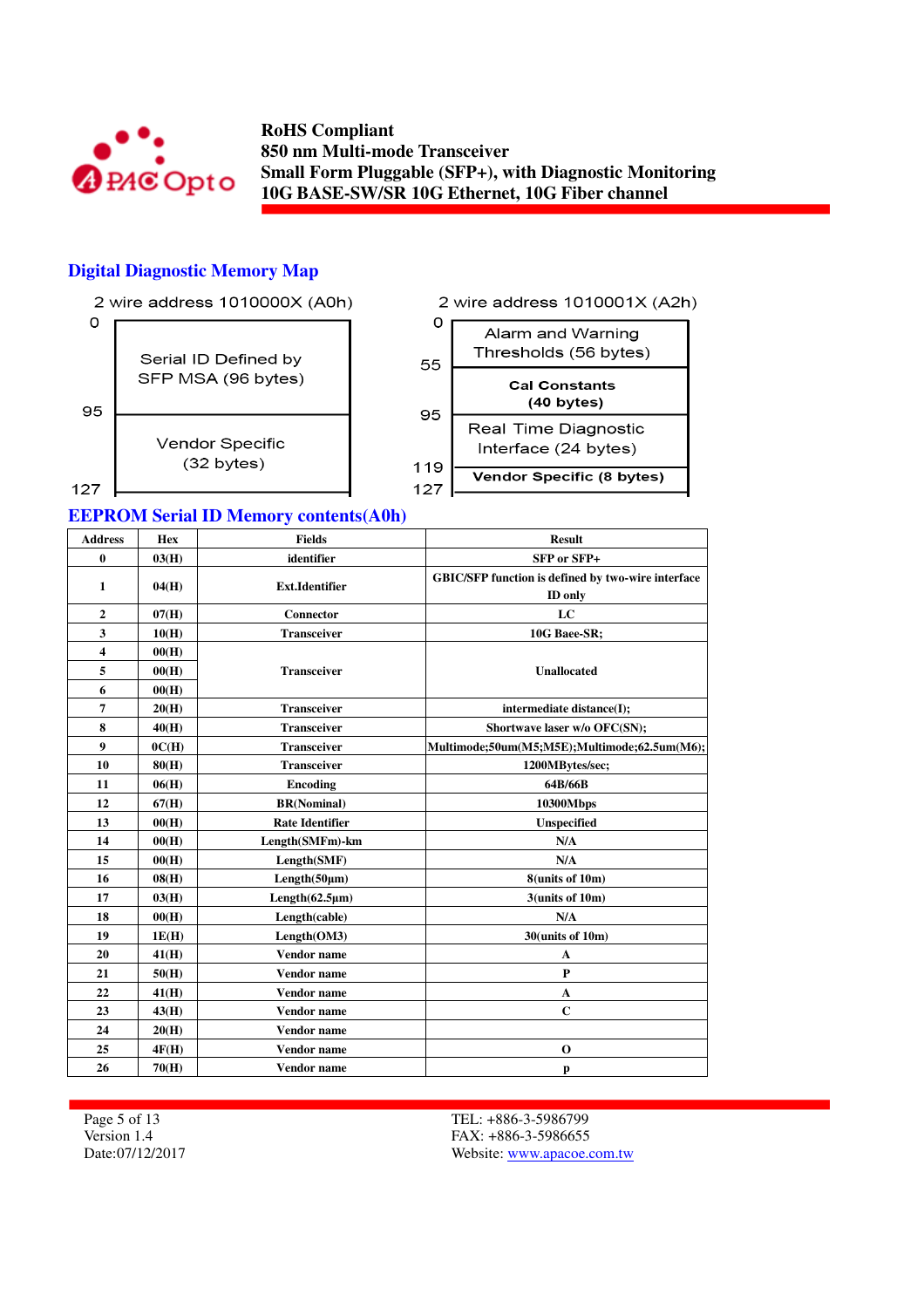

### **Digital Diagnostic Memory Map**



#### **EEPROM Serial ID Memory contents(A0h)**

| <b>Address</b> | <b>Hex</b> | <b>Fields</b>          | <b>Result</b>                                             |
|----------------|------------|------------------------|-----------------------------------------------------------|
| $\bf{0}$       | 03(H)      | identifier             | SFP or SFP+                                               |
|                |            |                        | <b>GBIC/SFP function is defined by two-wire interface</b> |
| $\mathbf{1}$   | 04(H)      | <b>Ext.Identifier</b>  | <b>ID</b> only                                            |
| $\mathbf{2}$   | 07(H)      | Connector              | LC                                                        |
| 3              | 10(H)      | <b>Transceiver</b>     | 10G Baee-SR;                                              |
| 4              | 00(H)      |                        |                                                           |
| 5              | 00(H)      | <b>Transceiver</b>     | <b>Unallocated</b>                                        |
| 6              | 00(H)      |                        |                                                           |
| 7              | 20(H)      | <b>Transceiver</b>     | intermediate distance(I);                                 |
| 8              | 40(H)      | <b>Transceiver</b>     | Shortwave laser w/o OFC(SN);                              |
| 9              | OC(H)      | <b>Transceiver</b>     | Multimode;50um(M5;M5E);Multimode;62.5um(M6);              |
| 10             | 80(H)      | <b>Transceiver</b>     | 1200MBytes/sec;                                           |
| 11             | 06(H)      | Encoding               | 64B/66B                                                   |
| 12             | 67(H)      | <b>BR(Nominal)</b>     | 10300Mbps                                                 |
| 13             | 00(H)      | <b>Rate Identifier</b> | <b>Unspecified</b>                                        |
| 14             | 00(H)      | Length(SMFm)-km        | N/A                                                       |
| 15             | 00(H)      | Length(SMF)            | N/A                                                       |
| 16             | 08(H)      | Length(50µm)           | 8(units of 10m)                                           |
| 17             | 03(H)      | Length $(62.5 \mu m)$  | 3(units of 10m)                                           |
| 18             | 00(H)      | Length(cable)          | N/A                                                       |
| 19             | 1E(H)      | Length(OM3)            | 30(units of 10m)                                          |
| 20             | 41(H)      | <b>Vendor</b> name     | $\mathbf{A}$                                              |
| 21             | 50(H)      | <b>Vendor</b> name     | $\mathbf{P}$                                              |
| 22             | 41(H)      | <b>Vendor</b> name     | $\mathbf{A}$                                              |
| 23             | 43(H)      | Vendor name            | $\mathbf C$                                               |
| 24             | 20(H)      | <b>Vendor</b> name     |                                                           |
| 25             | 4F(H)      | <b>Vendor</b> name     | $\mathbf 0$                                               |
| 26             | 70(H)      | Vendor name            | p                                                         |

Page 5 of 13 Version 1.4 Date:07/12/2017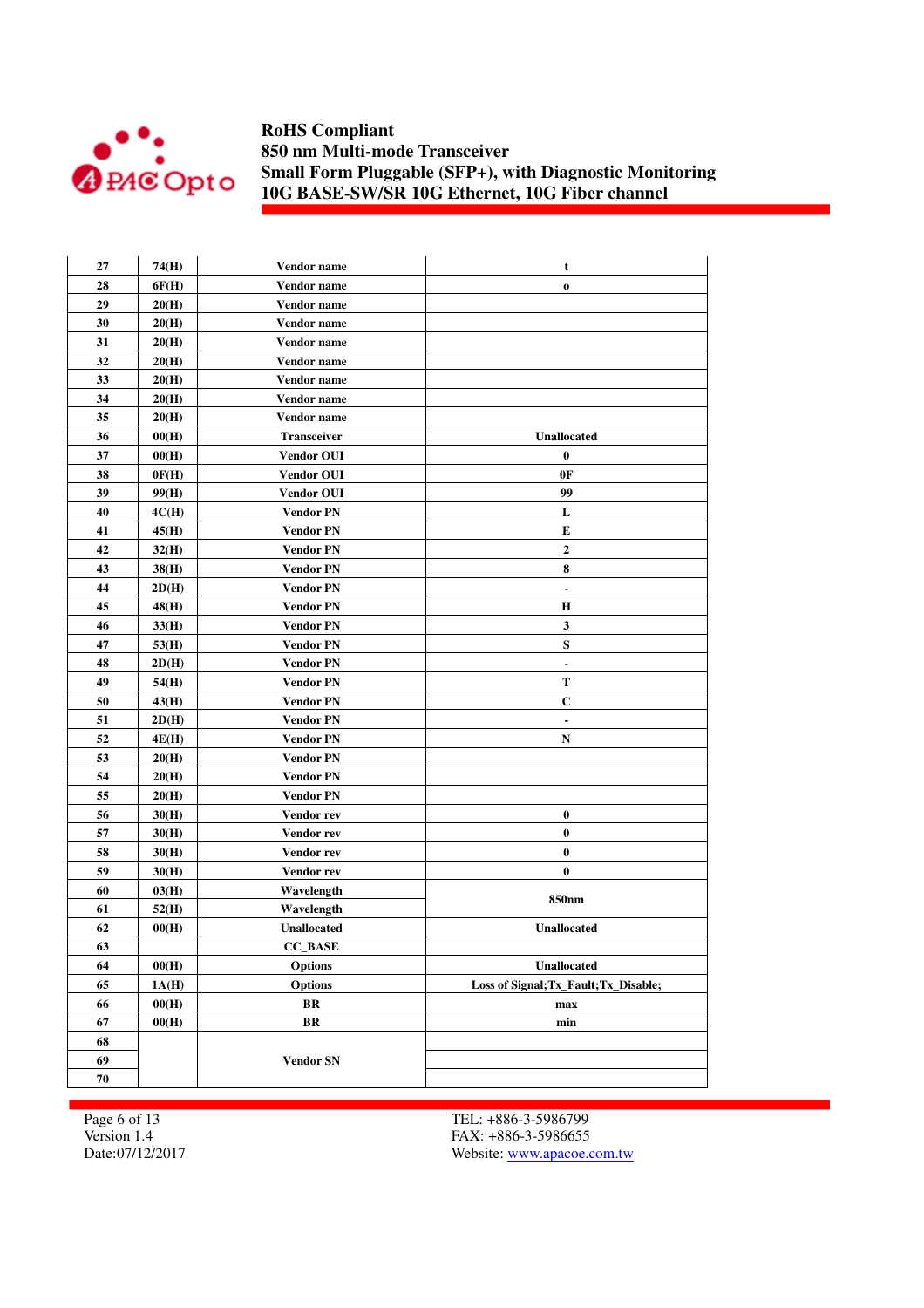

| 27 | 74(H) | Vendor name        | t                                     |
|----|-------|--------------------|---------------------------------------|
| 28 | 6F(H) | Vendor name        | $\mathbf 0$                           |
| 29 | 20(H) | Vendor name        |                                       |
| 30 | 20(H) | Vendor name        |                                       |
| 31 | 20(H) | Vendor name        |                                       |
| 32 | 20(H) | Vendor name        |                                       |
| 33 | 20(H) | Vendor name        |                                       |
| 34 | 20(H) | Vendor name        |                                       |
| 35 | 20(H) | Vendor name        |                                       |
| 36 | 00(H) | <b>Transceiver</b> | <b>Unallocated</b>                    |
| 37 | 00(H) | <b>Vendor OUI</b>  | $\bf{0}$                              |
| 38 | 0F(H) | <b>Vendor OUI</b>  | 0F                                    |
| 39 | 99(H) | <b>Vendor OUI</b>  | 99                                    |
| 40 | 4C(H) | <b>Vendor PN</b>   | L                                     |
| 41 | 45(H) | <b>Vendor PN</b>   | E                                     |
| 42 | 32(H) | <b>Vendor PN</b>   | $\boldsymbol{2}$                      |
| 43 | 38(H) | <b>Vendor PN</b>   | 8                                     |
| 44 | 2D(H) | <b>Vendor PN</b>   | $\overline{\phantom{a}}$              |
| 45 | 48(H) | <b>Vendor PN</b>   | Н                                     |
| 46 | 33(H) | <b>Vendor PN</b>   | $\mathbf{3}$                          |
| 47 | 53(H) | <b>Vendor PN</b>   | ${\bf S}$                             |
| 48 | 2D(H) | <b>Vendor PN</b>   | $\blacksquare$                        |
| 49 | 54(H) | <b>Vendor PN</b>   | T                                     |
| 50 | 43(H) | <b>Vendor PN</b>   | C                                     |
| 51 | 2D(H) | <b>Vendor PN</b>   | $\blacksquare$                        |
| 52 | 4E(H) | <b>Vendor PN</b>   | N                                     |
| 53 | 20(H) | <b>Vendor PN</b>   |                                       |
| 54 | 20(H) | <b>Vendor PN</b>   |                                       |
| 55 | 20(H) | <b>Vendor PN</b>   |                                       |
| 56 | 30(H) | Vendor rev         | $\pmb{0}$                             |
| 57 | 30(H) | Vendor rev         | $\bf{0}$                              |
| 58 | 30(H) | Vendor rev         | $\bf{0}$                              |
| 59 | 30(H) | Vendor rev         | $\bf{0}$                              |
| 60 | 03(H) | Wavelength         |                                       |
| 61 | 52(H) | Wavelength         | 850nm                                 |
| 62 | 00(H) | Unallocated        | Unallocated                           |
| 63 |       | <b>CC_BASE</b>     |                                       |
| 64 | 00(H) | <b>Options</b>     | Unallocated                           |
| 65 | 1A(H) | <b>Options</b>     | Loss of Signal; Tx Fault; Tx Disable; |
| 66 | 00(H) | BR                 | max                                   |
| 67 | 00(H) | BR                 | min                                   |
| 68 |       |                    |                                       |
| 69 |       | <b>Vendor SN</b>   |                                       |
| 70 |       |                    |                                       |
|    |       |                    |                                       |

Page 6 of 13 Version 1.4 Date:07/12/2017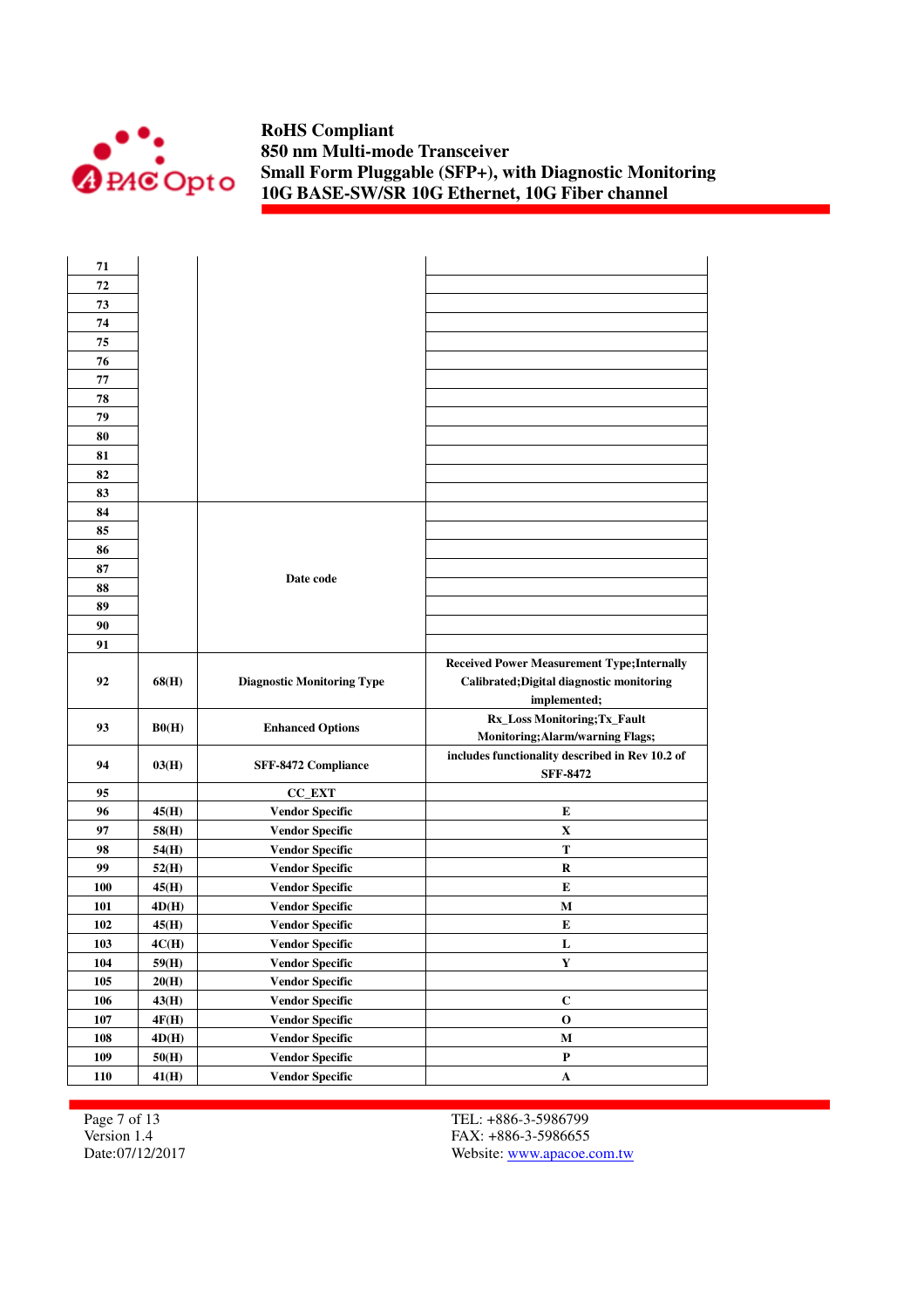

| 71  |       |                                   |                                                    |
|-----|-------|-----------------------------------|----------------------------------------------------|
| 72  |       |                                   |                                                    |
| 73  |       |                                   |                                                    |
| 74  |       |                                   |                                                    |
| 75  |       |                                   |                                                    |
| 76  |       |                                   |                                                    |
| 77  |       |                                   |                                                    |
| 78  |       |                                   |                                                    |
| 79  |       |                                   |                                                    |
| 80  |       |                                   |                                                    |
| 81  |       |                                   |                                                    |
| 82  |       |                                   |                                                    |
| 83  |       |                                   |                                                    |
| 84  |       |                                   |                                                    |
| 85  |       |                                   |                                                    |
| 86  |       |                                   |                                                    |
| 87  |       |                                   |                                                    |
| 88  |       | Date code                         |                                                    |
| 89  |       |                                   |                                                    |
| 90  |       |                                   |                                                    |
| 91  |       |                                   |                                                    |
|     |       |                                   | <b>Received Power Measurement Type; Internally</b> |
| 92  | 68(H) | <b>Diagnostic Monitoring Type</b> | Calibrated; Digital diagnostic monitoring          |
|     |       |                                   | implemented;                                       |
| 93  | B0(H) |                                   | Rx_Loss Monitoring;Tx_Fault                        |
|     |       | <b>Enhanced Options</b>           | <b>Monitoring; Alarm/warning Flags;</b>            |
| 94  | 03(H) | SFF-8472 Compliance               | includes functionality described in Rev 10.2 of    |
|     |       |                                   | <b>SFF-8472</b>                                    |
| 95  |       | <b>CC_EXT</b>                     |                                                    |
| 96  | 45(H) | <b>Vendor Specific</b>            | E                                                  |
| 97  | 58(H) | <b>Vendor Specific</b>            | X                                                  |
| 98  | 54(H) | <b>Vendor Specific</b>            | Т                                                  |
| 99  | 52(H) | <b>Vendor Specific</b>            | R                                                  |
| 100 | 45(H) | <b>Vendor Specific</b>            | E                                                  |
| 101 | 4D(H) | <b>Vendor Specific</b>            | M                                                  |
| 102 | 45(H) | <b>Vendor Specific</b>            | Е                                                  |
| 103 | 4C(H) | Vendor Specific                   | L                                                  |
| 104 | 59(H) | <b>Vendor Specific</b>            | $\mathbf Y$                                        |
| 105 | 20(H) | <b>Vendor Specific</b>            |                                                    |
| 106 | 43(H) | <b>Vendor Specific</b>            | $\mathbf C$                                        |
| 107 | 4F(H) | <b>Vendor Specific</b>            | $\mathbf 0$                                        |
| 108 | 4D(H) | <b>Vendor Specific</b>            | M                                                  |
| 109 | 50(H) | <b>Vendor Specific</b>            | $\mathbf P$                                        |
| 110 | 41(H) | <b>Vendor Specific</b>            | $\mathbf A$                                        |

Page 7 of 13 Version 1.4 Date:07/12/2017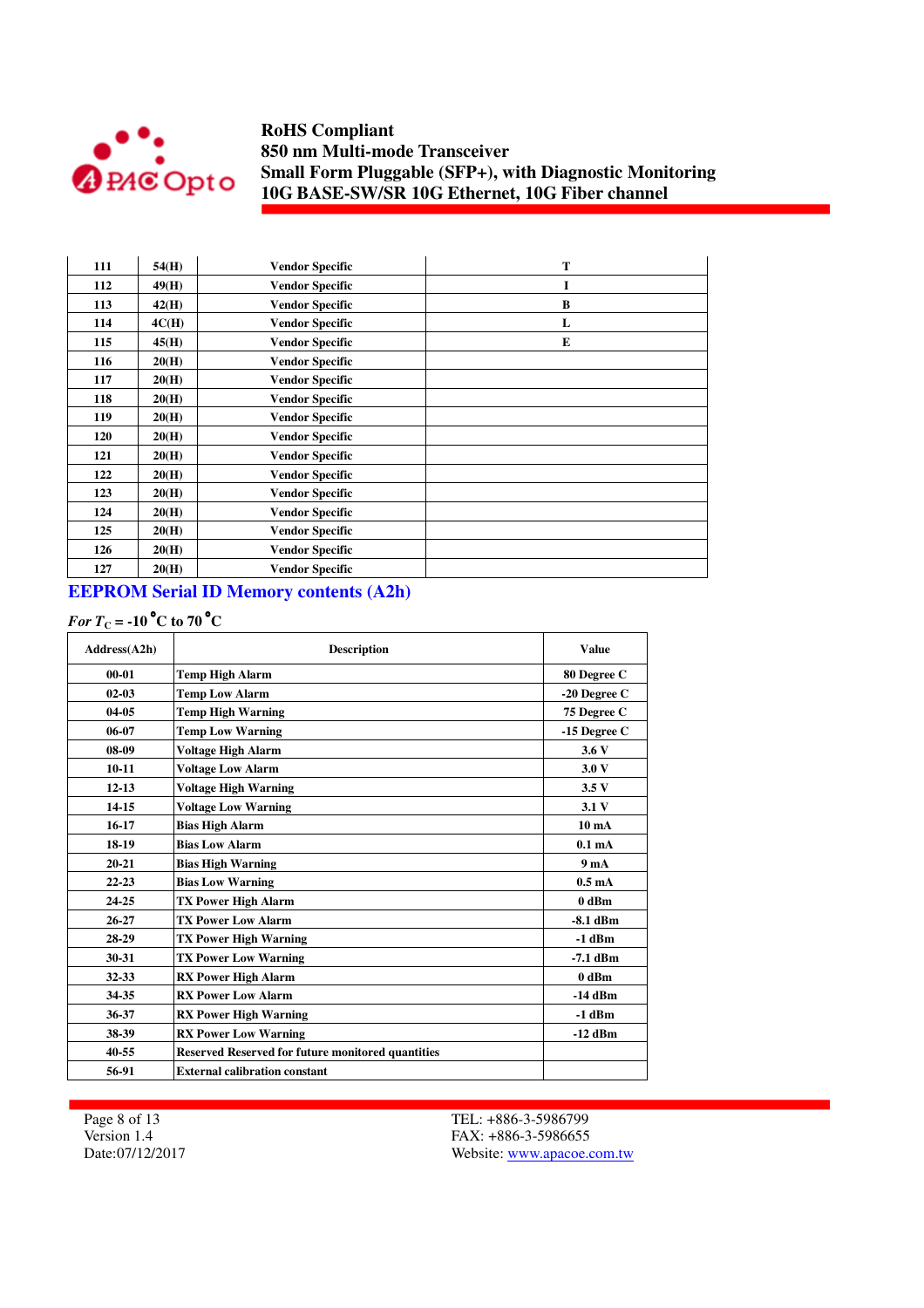

| 111 | 54(H) | <b>Vendor Specific</b> | T |
|-----|-------|------------------------|---|
| 112 | 49(H) | <b>Vendor Specific</b> | I |
| 113 | 42(H) | <b>Vendor Specific</b> | B |
| 114 | 4C(H) | <b>Vendor Specific</b> | L |
| 115 | 45(H) | <b>Vendor Specific</b> | E |
| 116 | 20(H) | <b>Vendor Specific</b> |   |
| 117 | 20(H) | <b>Vendor Specific</b> |   |
| 118 | 20(H) | <b>Vendor Specific</b> |   |
| 119 | 20(H) | <b>Vendor Specific</b> |   |
| 120 | 20(H) | <b>Vendor Specific</b> |   |
| 121 | 20(H) | <b>Vendor Specific</b> |   |
| 122 | 20(H) | <b>Vendor Specific</b> |   |
| 123 | 20(H) | <b>Vendor Specific</b> |   |
| 124 | 20(H) | <b>Vendor Specific</b> |   |
| 125 | 20(H) | <b>Vendor Specific</b> |   |
| 126 | 20(H) | <b>Vendor Specific</b> |   |
| 127 | 20(H) | <b>Vendor Specific</b> |   |

# **EEPROM Serial ID Memory contents (A2h)**

# *For*  $T_c$  = -10<sup>°</sup>C to 70<sup>°</sup>C

| Address(A2h) | <b>Description</b>                                       | <b>Value</b>       |
|--------------|----------------------------------------------------------|--------------------|
| $00 - 01$    | <b>Temp High Alarm</b>                                   | 80 Degree C        |
| $02 - 03$    | <b>Temp Low Alarm</b>                                    | -20 Degree C       |
| $04 - 05$    | <b>Temp High Warning</b>                                 | 75 Degree C        |
| $06-07$      | <b>Temp Low Warning</b>                                  | $-15$ Degree C     |
| 08-09        | <b>Voltage High Alarm</b>                                | 3.6V               |
| $10 - 11$    | <b>Voltage Low Alarm</b>                                 | 3.0V               |
| $12 - 13$    | <b>Voltage High Warning</b>                              | 3.5V               |
| $14 - 15$    | <b>Voltage Low Warning</b>                               | 3.1V               |
| $16-17$      | <b>Bias High Alarm</b>                                   | 10 <sub>m</sub> A  |
| 18-19        | <b>Bias Low Alarm</b>                                    | 0.1 <sub>m</sub> A |
| $20 - 21$    | <b>Bias High Warning</b>                                 | 9 <sub>m</sub> A   |
| $22 - 23$    | <b>Bias Low Warning</b>                                  | 0.5 <sub>m</sub> A |
| 24-25        | <b>TX Power High Alarm</b>                               | 0 dBm              |
| $26 - 27$    | <b>TX Power Low Alarm</b>                                | $-8.1$ dBm         |
| 28-29        | <b>TX Power High Warning</b>                             | $-1$ dBm           |
| 30-31        | <b>TX Power Low Warning</b>                              | $-7.1$ dBm         |
| 32-33        | <b>RX Power High Alarm</b>                               | 0 dBm              |
| 34-35        | <b>RX Power Low Alarm</b>                                | -14 dBm            |
| 36-37        | <b>RX Power High Warning</b>                             | $-1$ dBm           |
| 38-39        | <b>RX Power Low Warning</b>                              | $-12$ dBm          |
| 40-55        | <b>Reserved Reserved for future monitored quantities</b> |                    |
| 56-91        | <b>External calibration constant</b>                     |                    |

Page 8 of 13 Version 1.4 Date:07/12/2017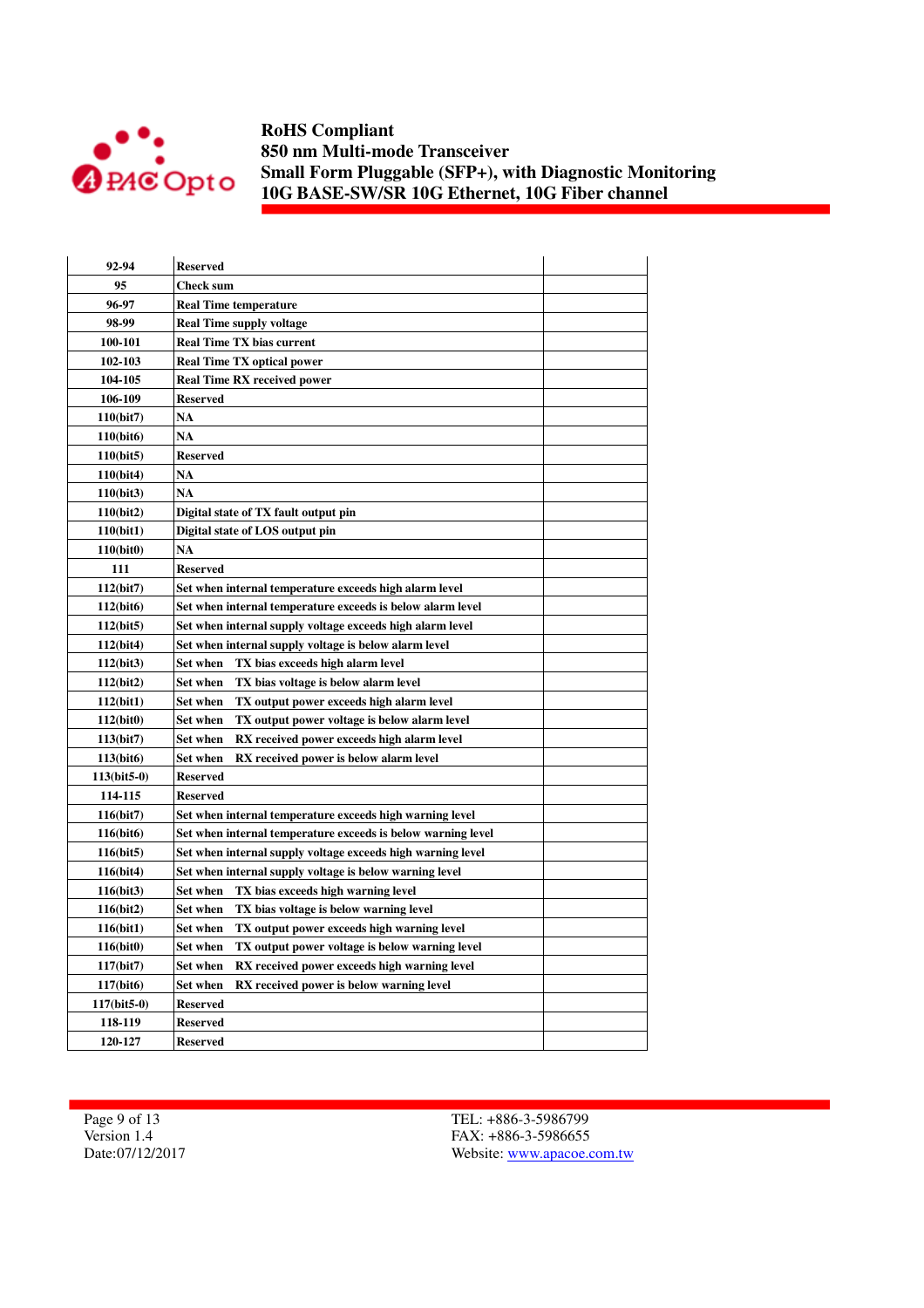

| 92-94                  | <b>Reserved</b>                                                 |  |
|------------------------|-----------------------------------------------------------------|--|
| 95                     | <b>Check sum</b>                                                |  |
| 96-97                  | <b>Real Time temperature</b>                                    |  |
| 98-99                  | <b>Real Time supply voltage</b>                                 |  |
| 100-101                | <b>Real Time TX bias current</b>                                |  |
| 102-103                | <b>Real Time TX optical power</b>                               |  |
| 104-105                | <b>Real Time RX received power</b>                              |  |
| 106-109                | <b>Reserved</b>                                                 |  |
| 110(bit7)              | <b>NA</b>                                                       |  |
| 110(bit6)              | NA                                                              |  |
| 110(bit5)              | <b>Reserved</b>                                                 |  |
| 110(bit4)              | <b>NA</b>                                                       |  |
| 110(bit3)              | <b>NA</b>                                                       |  |
| 110(bit2)              | Digital state of TX fault output pin                            |  |
| 110(bit1)              | Digital state of LOS output pin                                 |  |
| 110(bit0)              | <b>NA</b>                                                       |  |
| 111                    | <b>Reserved</b>                                                 |  |
| 112(bit7)              | Set when internal temperature exceeds high alarm level          |  |
| 112(bit6)              | Set when internal temperature exceeds is below alarm level      |  |
| 112(bit5)              | Set when internal supply voltage exceeds high alarm level       |  |
| 112(bit4)              | Set when internal supply voltage is below alarm level           |  |
| 112(bit3)              | TX bias exceeds high alarm level<br>Set when                    |  |
| 112(bit2)              | Set when<br>TX bias voltage is below alarm level                |  |
| 112(bit1)              | TX output power exceeds high alarm level<br>Set when            |  |
| 112(bit0)              | TX output power voltage is below alarm level<br>Set when        |  |
| 113(bit7)              | <b>Set when</b><br>RX received power exceeds high alarm level   |  |
| 113(bit <sub>6</sub> ) | Set when<br>RX received power is below alarm level              |  |
| $113(bit5-0)$          | <b>Reserved</b>                                                 |  |
| 114-115                | <b>Reserved</b>                                                 |  |
| 116(bit7)              | Set when internal temperature exceeds high warning level        |  |
| 116(bit6)              | Set when internal temperature exceeds is below warning level    |  |
| 116(bit5)              | Set when internal supply voltage exceeds high warning level     |  |
| 116(bit4)              | Set when internal supply voltage is below warning level         |  |
| 116(bit3)              | <b>Set when</b><br>TX bias exceeds high warning level           |  |
| 116(bit2)              | <b>Set when</b><br>TX bias voltage is below warning level       |  |
| 116(bit1)              | Set when<br>TX output power exceeds high warning level          |  |
| 116(bit0)              | TX output power voltage is below warning level<br>Set when      |  |
| 117(bit)               | <b>Set when</b><br>RX received power exceeds high warning level |  |
| 117(bit6)              | <b>Set when</b><br>RX received power is below warning level     |  |
| $117(bit5-0)$          | <b>Reserved</b>                                                 |  |
| 118-119                | <b>Reserved</b>                                                 |  |
| 120-127                | <b>Reserved</b>                                                 |  |

Page 9 of 13 Version 1.4 Date:07/12/2017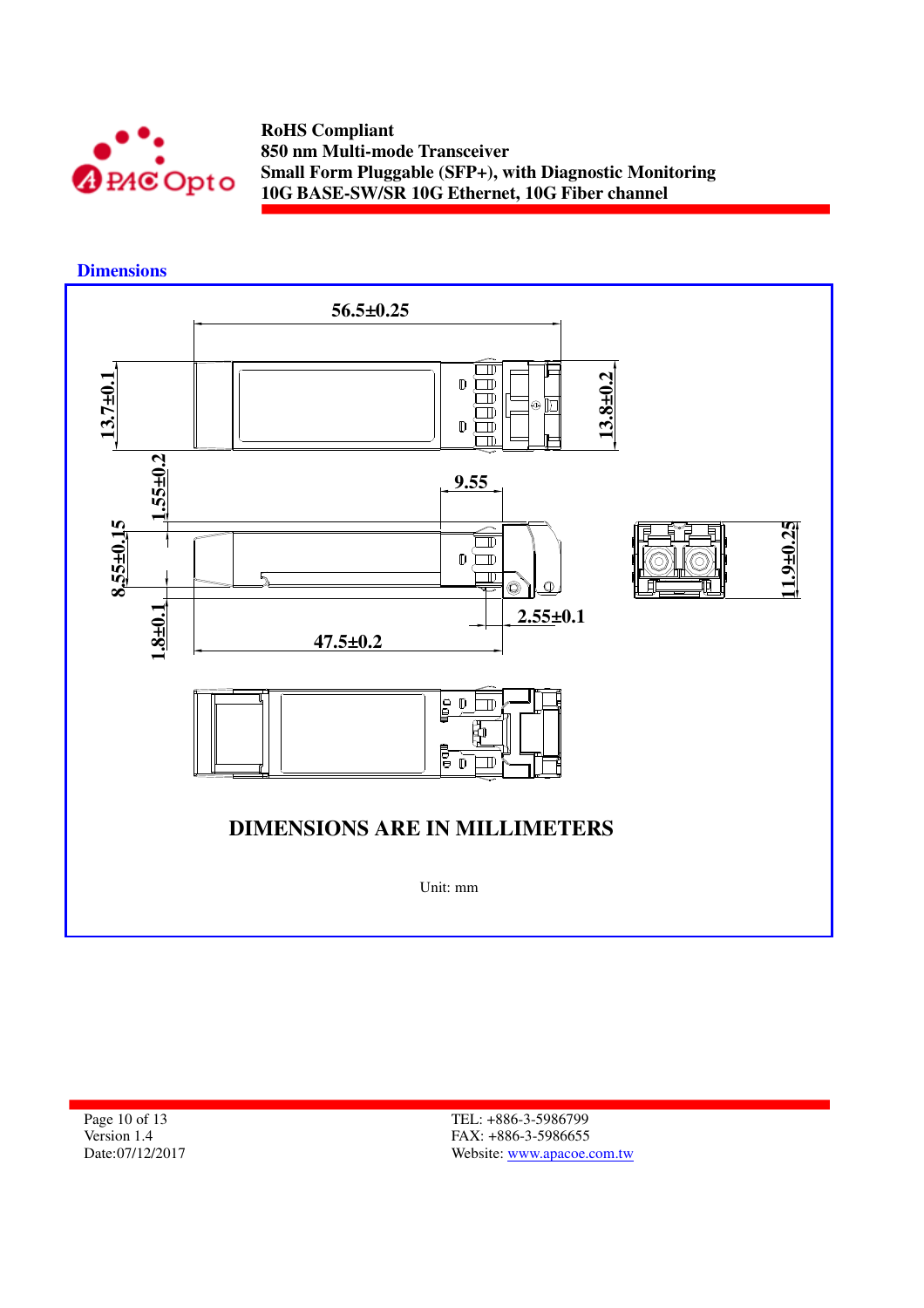

 **Dimensions** 



Page 10 of 13 Version 1.4 Date:07/12/2017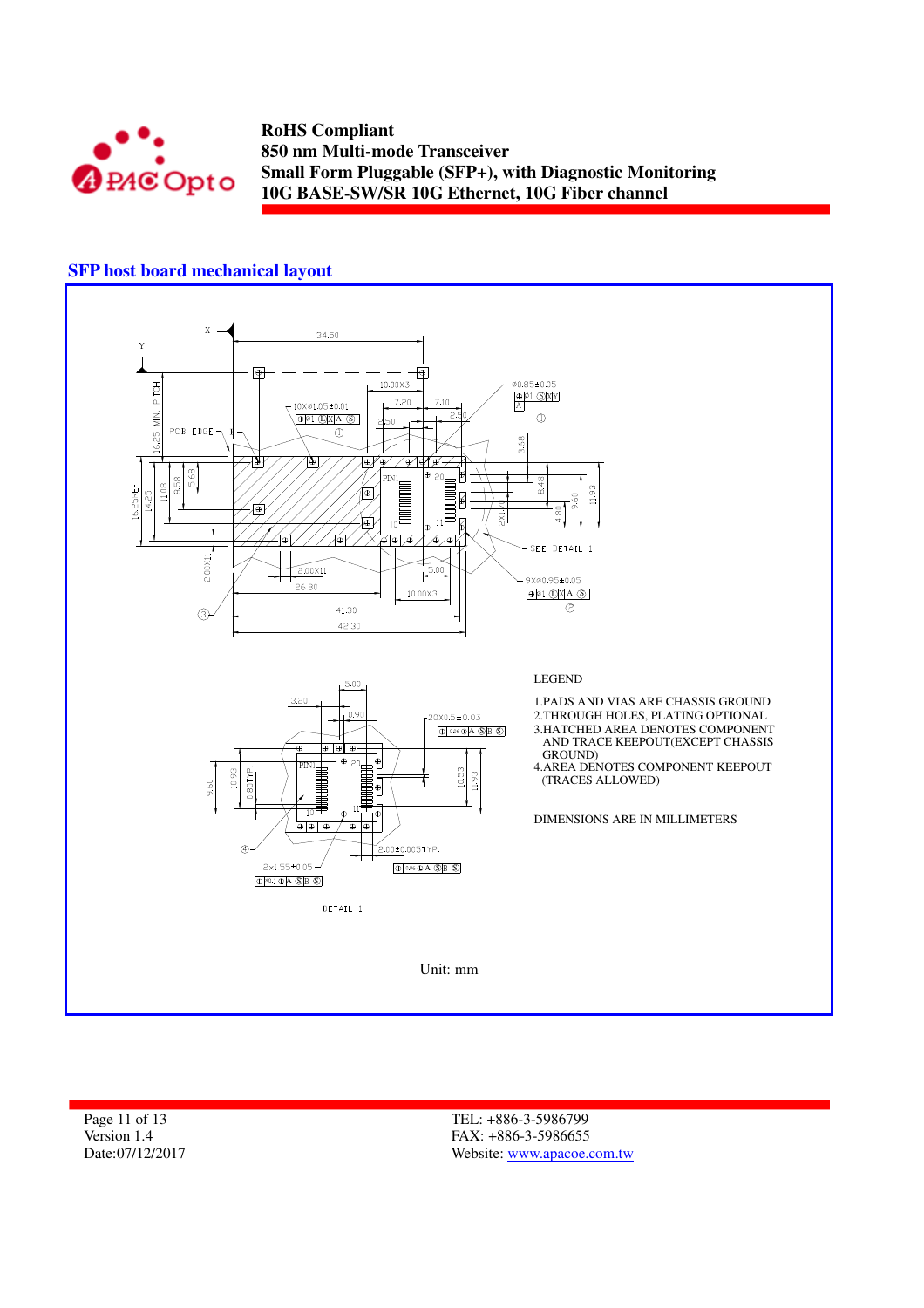

### **SFP host board mechanical layout**



Page 11 of 13 Version 1.4 Date:07/12/2017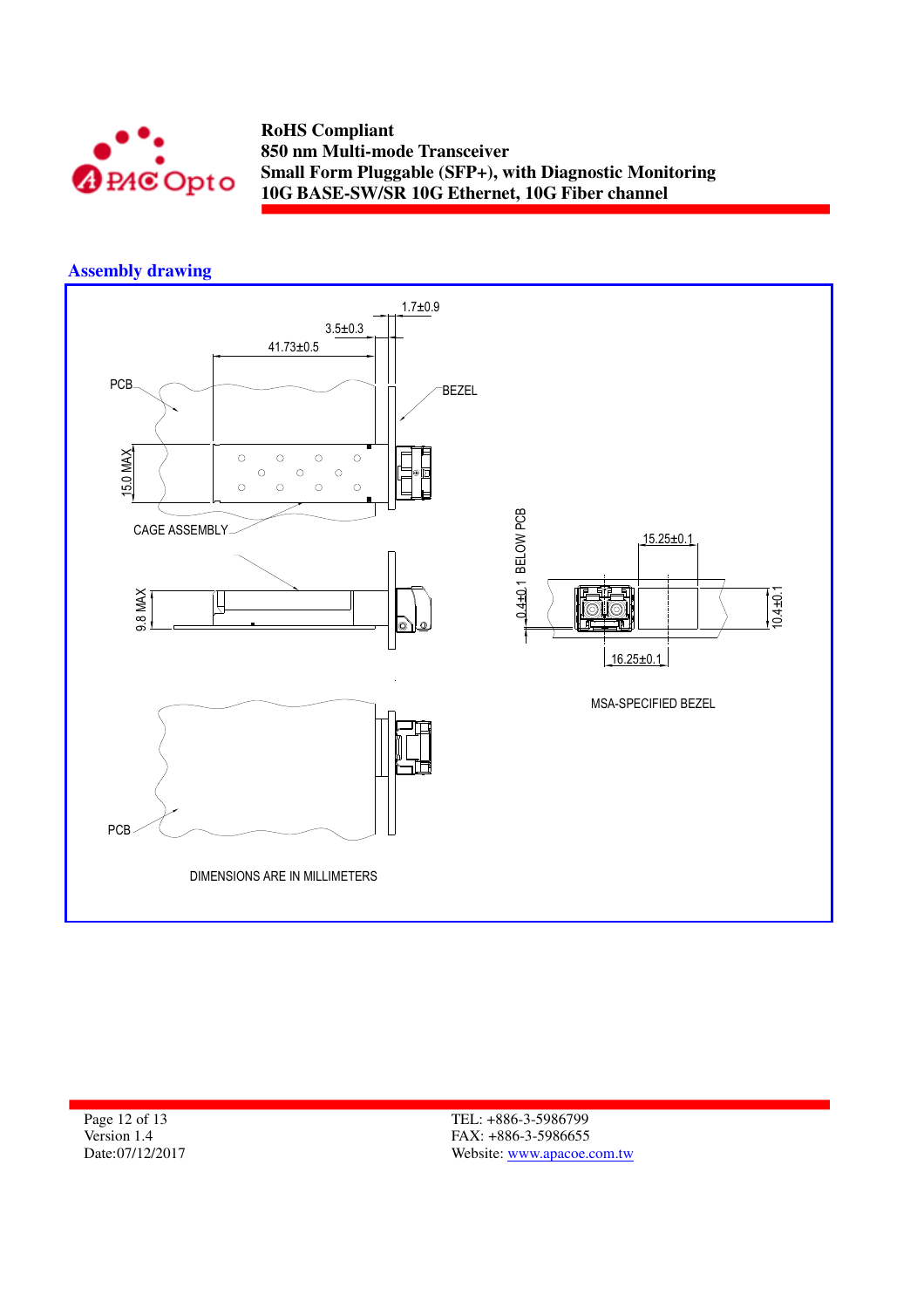

### **Assembly drawing**



Page 12 of 13 Version 1.4 Date:07/12/2017